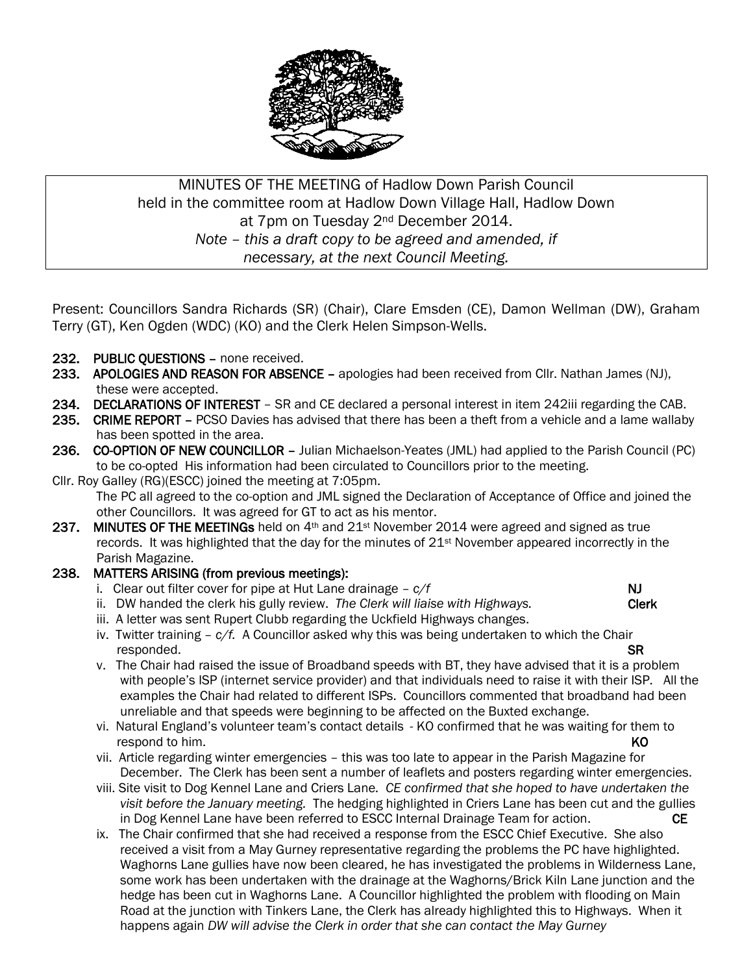

## MINUTES OF THE MEETING of Hadlow Down Parish Council held in the committee room at Hadlow Down Village Hall, Hadlow Down at 7pm on Tuesday 2nd December 2014. *Note – this a draft copy to be agreed and amended, if necessary, at the next Council Meeting.*

Present: Councillors Sandra Richards (SR) (Chair), Clare Emsden (CE), Damon Wellman (DW), Graham Terry (GT), Ken Ogden (WDC) (KO) and the Clerk Helen Simpson-Wells.

- 232. PUBLIC QUESTIONS none received.
- 233. APOLOGIES AND REASON FOR ABSENCE apologies had been received from Cllr. Nathan James (NJ), these were accepted.
- 234. DECLARATIONS OF INTEREST SR and CE declared a personal interest in item 242iii regarding the CAB.
- 235. CRIME REPORT PCSO Davies has advised that there has been a theft from a vehicle and a lame wallaby has been spotted in the area.
- 236. CO-OPTION OF NEW COUNCILLOR Julian Michaelson-Yeates (JML) had applied to the Parish Council (PC) to be co-opted His information had been circulated to Councillors prior to the meeting.
- Cllr. Roy Galley (RG)(ESCC) joined the meeting at 7:05pm.

 The PC all agreed to the co-option and JML signed the Declaration of Acceptance of Office and joined the other Councillors. It was agreed for GT to act as his mentor.

237. MINUTES OF THE MEETINGs held on  $4<sup>th</sup>$  and  $21<sup>st</sup>$  November 2014 were agreed and signed as true records. It was highlighted that the day for the minutes of 21st November appeared incorrectly in the Parish Magazine.

## 238. MATTERS ARISING (from previous meetings):

- i. Clear out filter cover for pipe at Hut Lane drainage  $c/f$  NJ
- ii. DW handed the clerk his gully review. *The Clerk will liaise with Highways.* Clerk
- iii. A letter was sent Rupert Clubb regarding the Uckfield Highways changes.
- iv. Twitter training *c/f.* A Councillor asked why this was being undertaken to which the Chair responded. SR
	- v. The Chair had raised the issue of Broadband speeds with BT, they have advised that it is a problem with people's ISP (internet service provider) and that individuals need to raise it with their ISP. All the examples the Chair had related to different ISPs. Councillors commented that broadband had been unreliable and that speeds were beginning to be affected on the Buxted exchange.
	- vi. Natural England's volunteer team's contact details KO confirmed that he was waiting for them to **respond to him.** KO
	- vii. Article regarding winter emergencies this was too late to appear in the Parish Magazine for December. The Clerk has been sent a number of leaflets and posters regarding winter emergencies.
	- viii. Site visit to Dog Kennel Lane and Criers Lane*. CE confirmed that she hoped to have undertaken the visit before the January meeting.* The hedging highlighted in Criers Lane has been cut and the gullies in Dog Kennel Lane have been referred to ESCC Internal Drainage Team for action.
	- ix. The Chair confirmed that she had received a response from the ESCC Chief Executive. She also received a visit from a May Gurney representative regarding the problems the PC have highlighted. Waghorns Lane gullies have now been cleared, he has investigated the problems in Wilderness Lane, some work has been undertaken with the drainage at the Waghorns/Brick Kiln Lane junction and the hedge has been cut in Waghorns Lane. A Councillor highlighted the problem with flooding on Main Road at the junction with Tinkers Lane, the Clerk has already highlighted this to Highways. When it happens again *DW will advise the Clerk in order that she can contact the May Gurney*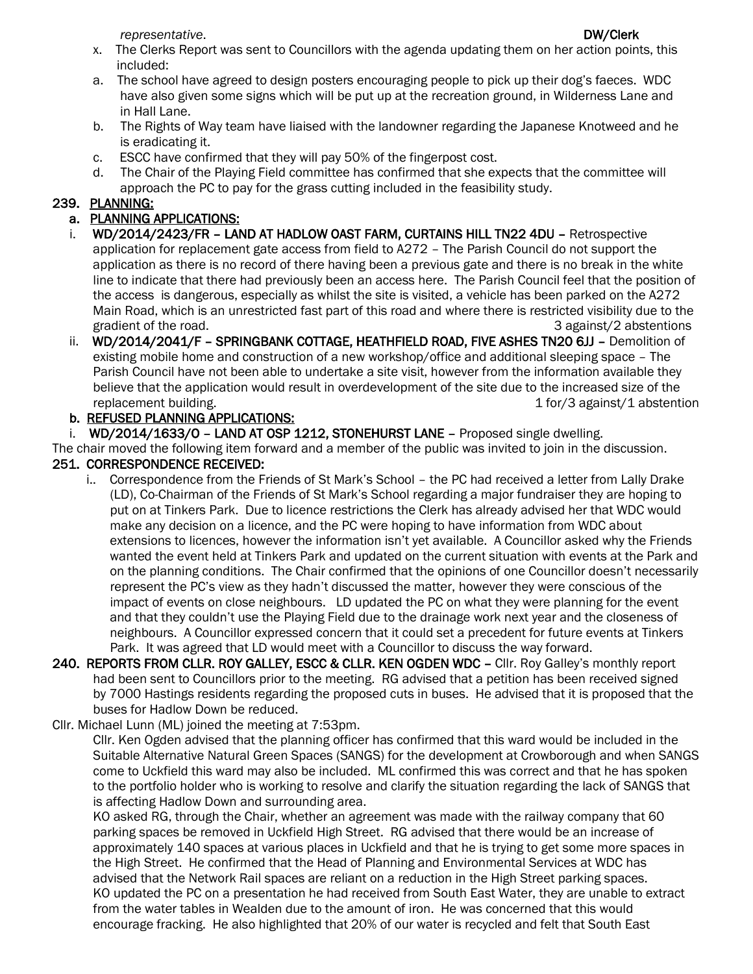*representative.* DW/Clerk

### x. The Clerks Report was sent to Councillors with the agenda updating them on her action points, this included:

- a. The school have agreed to design posters encouraging people to pick up their dog's faeces. WDC have also given some signs which will be put up at the recreation ground, in Wilderness Lane and in Hall Lane.
- b. The Rights of Way team have liaised with the landowner regarding the Japanese Knotweed and he is eradicating it.
- c. ESCC have confirmed that they will pay 50% of the fingerpost cost.
- d. The Chair of the Playing Field committee has confirmed that she expects that the committee will approach the PC to pay for the grass cutting included in the feasibility study.

# 239. PLANNING:

## a. PLANNING APPLICATIONS:

- i. WD/2014/2423/FR LAND AT HADLOW OAST FARM, CURTAINS HILL TN22 4DU Retrospective application for replacement gate access from field to A272 – The Parish Council do not support the application as there is no record of there having been a previous gate and there is no break in the white line to indicate that there had previously been an access here. The Parish Council feel that the position of the access is dangerous, especially as whilst the site is visited, a vehicle has been parked on the A272 Main Road, which is an unrestricted fast part of this road and where there is restricted visibility due to the gradient of the road.  $\overline{3}$  against/2 abstentions
- ii. WD/2014/2041/F SPRINGBANK COTTAGE, HEATHFIELD ROAD, FIVE ASHES TN20 6JJ Demolition of existing mobile home and construction of a new workshop/office and additional sleeping space – The Parish Council have not been able to undertake a site visit, however from the information available they believe that the application would result in overdevelopment of the site due to the increased size of the replacement building. The contraction of the contraction of the contraction of the contraction of the contraction

## b. REFUSED PLANNING APPLICATIONS:

i. WD/2014/1633/0 - LAND AT OSP 1212, STONEHURST LANE - Proposed single dwelling.

The chair moved the following item forward and a member of the public was invited to join in the discussion. 251. CORRESPONDENCE RECEIVED:

- i.. Correspondence from the Friends of St Mark's School the PC had received a letter from Lally Drake (LD), Co-Chairman of the Friends of St Mark's School regarding a major fundraiser they are hoping to put on at Tinkers Park. Due to licence restrictions the Clerk has already advised her that WDC would make any decision on a licence, and the PC were hoping to have information from WDC about extensions to licences, however the information isn't yet available. A Councillor asked why the Friends wanted the event held at Tinkers Park and updated on the current situation with events at the Park and on the planning conditions. The Chair confirmed that the opinions of one Councillor doesn't necessarily represent the PC's view as they hadn't discussed the matter, however they were conscious of the impact of events on close neighbours. LD updated the PC on what they were planning for the event and that they couldn't use the Playing Field due to the drainage work next year and the closeness of neighbours. A Councillor expressed concern that it could set a precedent for future events at Tinkers Park. It was agreed that LD would meet with a Councillor to discuss the way forward.
- 240. REPORTS FROM CLLR. ROY GALLEY, ESCC & CLLR. KEN OGDEN WDC Cllr. Roy Galley's monthly report had been sent to Councillors prior to the meeting. RG advised that a petition has been received signed by 7000 Hastings residents regarding the proposed cuts in buses. He advised that it is proposed that the buses for Hadlow Down be reduced.
- Cllr. Michael Lunn (ML) joined the meeting at 7:53pm.

 Cllr. Ken Ogden advised that the planning officer has confirmed that this ward would be included in the Suitable Alternative Natural Green Spaces (SANGS) for the development at Crowborough and when SANGS come to Uckfield this ward may also be included. ML confirmed this was correct and that he has spoken to the portfolio holder who is working to resolve and clarify the situation regarding the lack of SANGS that is affecting Hadlow Down and surrounding area.

 KO asked RG, through the Chair, whether an agreement was made with the railway company that 60 parking spaces be removed in Uckfield High Street. RG advised that there would be an increase of approximately 140 spaces at various places in Uckfield and that he is trying to get some more spaces in the High Street. He confirmed that the Head of Planning and Environmental Services at WDC has advised that the Network Rail spaces are reliant on a reduction in the High Street parking spaces. KO updated the PC on a presentation he had received from South East Water, they are unable to extract from the water tables in Wealden due to the amount of iron. He was concerned that this would encourage fracking. He also highlighted that 20% of our water is recycled and felt that South East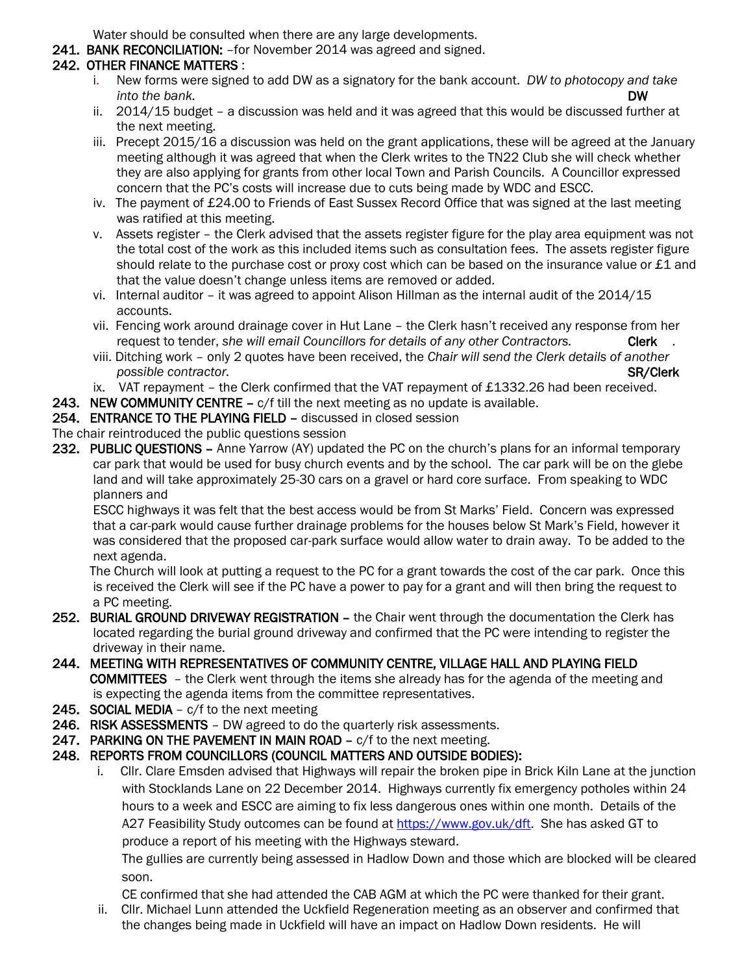Water should be consulted when there are any large developments.

241. BANK RECONCILIATION: - for November 2014 was agreed and signed.

## 242. OTHER FINANCE MATTERS :

- i. New forms were signed to add DW as a signatory for the bank account. *DW to photocopy and take into the bank.* DW
- ii. 2014/15 budget a discussion was held and it was agreed that this would be discussed further at the next meeting.
- iii. Precept 2015/16 a discussion was held on the grant applications, these will be agreed at the January meeting although it was agreed that when the Clerk writes to the TN22 Club she will check whether they are also applying for grants from other local Town and Parish Councils. A Councillor expressed concern that the PC's costs will increase due to cuts being made by WDC and ESCC.
- iv. The payment of £24.00 to Friends of East Sussex Record Office that was signed at the last meeting was ratified at this meeting.
- v. Assets register the Clerk advised that the assets register figure for the play area equipment was not the total cost of the work as this included items such as consultation fees. The assets register figure should relate to the purchase cost or proxy cost which can be based on the insurance value or £1 and that the value doesn't change unless items are removed or added.
- vi. Internal auditor it was agreed to appoint Alison Hillman as the internal audit of the 2014/15 accounts.
- vii. Fencing work around drainage cover in Hut Lane the Clerk hasn't received any response from her request to tender, *she will email Councillors for details of any other Contractors.* Clerk .
- viii. Ditching work only 2 quotes have been received, the *Chair will send the Clerk details of another possible contractor.* SR/Clerk
- ix. VAT repayment the Clerk confirmed that the VAT repayment of £1332.26 had been received.
- 243. NEW COMMUNITY CENTRE c/f till the next meeting as no update is available.
- 254. ENTRANCE TO THE PLAYING FIELD discussed in closed session

The chair reintroduced the public questions session

232. PUBLIC OUESTIONS – Anne Yarrow (AY) updated the PC on the church's plans for an informal temporary car park that would be used for busy church events and by the school. The car park will be on the glebe land and will take approximately 25-30 cars on a gravel or hard core surface. From speaking to WDC planners and

 ESCC highways it was felt that the best access would be from St Marks' Field. Concern was expressed that a car-park would cause further drainage problems for the houses below St Mark's Field, however it was considered that the proposed car-park surface would allow water to drain away. To be added to the next agenda.

 The Church will look at putting a request to the PC for a grant towards the cost of the car park. Once this is received the Clerk will see if the PC have a power to pay for a grant and will then bring the request to a PC meeting.

- 252. BURIAL GROUND DRIVEWAY REGISTRATION the Chair went through the documentation the Clerk has located regarding the burial ground driveway and confirmed that the PC were intending to register the driveway in their name.
- 244. MEETING WITH REPRESENTATIVES OF COMMUNITY CENTRE, VILLAGE HALL AND PLAYING FIELD COMMITTEES – the Clerk went through the items she already has for the agenda of the meeting and is expecting the agenda items from the committee representatives.
- 245. SOCIAL MEDIA c/f to the next meeting
- 246. RISK ASSESSMENTS DW agreed to do the quarterly risk assessments.
- 247. PARKING ON THE PAVEMENT IN MAIN ROAD c/f to the next meeting.
- 248. REPORTS FROM COUNCILLORS (COUNCIL MATTERS AND OUTSIDE BODIES):
	- i. Cllr. Clare Emsden advised that Highways will repair the broken pipe in Brick Kiln Lane at the junction with Stocklands Lane on 22 December 2014. Highways currently fix emergency potholes within 24 hours to a week and ESCC are aiming to fix less dangerous ones within one month. Details of the A27 Feasibility Study outcomes can be found at [https://www.gov.uk/dft.](https://www.gov.uk/dft) She has asked GT to produce a report of his meeting with the Highways steward.

 The gullies are currently being assessed in Hadlow Down and those which are blocked will be cleared soon.

 CE confirmed that she had attended the CAB AGM at which the PC were thanked for their grant. ii. Cllr. Michael Lunn attended the Uckfield Regeneration meeting as an observer and confirmed that

the changes being made in Uckfield will have an impact on Hadlow Down residents. He will